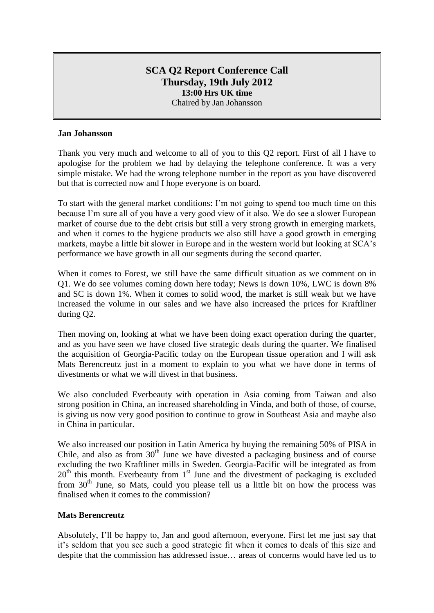# **SCA Q2 Report Conference Call Thursday, 19th July 2012 13:00 Hrs UK time** Chaired by Jan Johansson

## **Jan Johansson**

Thank you very much and welcome to all of you to this Q2 report. First of all I have to apologise for the problem we had by delaying the telephone conference. It was a very simple mistake. We had the wrong telephone number in the report as you have discovered but that is corrected now and I hope everyone is on board.

To start with the general market conditions: I'm not going to spend too much time on this because I'm sure all of you have a very good view of it also. We do see a slower European market of course due to the debt crisis but still a very strong growth in emerging markets, and when it comes to the hygiene products we also still have a good growth in emerging markets, maybe a little bit slower in Europe and in the western world but looking at SCA's performance we have growth in all our segments during the second quarter.

When it comes to Forest, we still have the same difficult situation as we comment on in Q1. We do see volumes coming down here today; News is down 10%, LWC is down 8% and SC is down 1%. When it comes to solid wood, the market is still weak but we have increased the volume in our sales and we have also increased the prices for Kraftliner during Q2.

Then moving on, looking at what we have been doing exact operation during the quarter, and as you have seen we have closed five strategic deals during the quarter. We finalised the acquisition of Georgia-Pacific today on the European tissue operation and I will ask Mats Berencreutz just in a moment to explain to you what we have done in terms of divestments or what we will divest in that business.

We also concluded Everbeauty with operation in Asia coming from Taiwan and also strong position in China, an increased shareholding in Vinda, and both of those, of course, is giving us now very good position to continue to grow in Southeast Asia and maybe also in China in particular.

We also increased our position in Latin America by buying the remaining 50% of PISA in Chile, and also as from  $30<sup>th</sup>$  June we have divested a packaging business and of course excluding the two Kraftliner mills in Sweden. Georgia-Pacific will be integrated as from  $20<sup>th</sup>$  this month. Everbeauty from  $1<sup>st</sup>$  June and the divestment of packaging is excluded from 30<sup>th</sup> June, so Mats, could you please tell us a little bit on how the process was finalised when it comes to the commission?

## **Mats Berencreutz**

Absolutely, I'll be happy to, Jan and good afternoon, everyone. First let me just say that it's seldom that you see such a good strategic fit when it comes to deals of this size and despite that the commission has addressed issue… areas of concerns would have led us to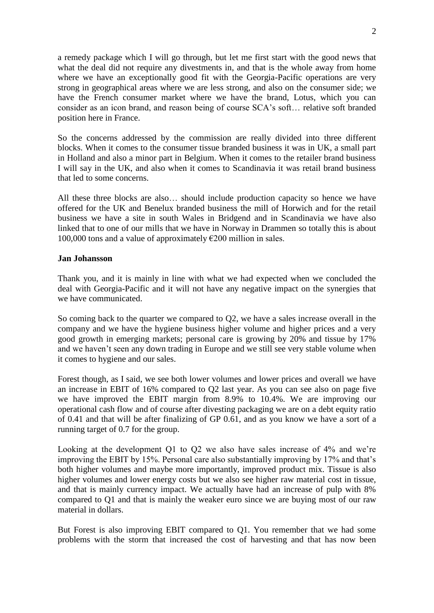a remedy package which I will go through, but let me first start with the good news that what the deal did not require any divestments in, and that is the whole away from home where we have an exceptionally good fit with the Georgia-Pacific operations are very strong in geographical areas where we are less strong, and also on the consumer side; we have the French consumer market where we have the brand, Lotus, which you can consider as an icon brand, and reason being of course SCA's soft… relative soft branded position here in France.

So the concerns addressed by the commission are really divided into three different blocks. When it comes to the consumer tissue branded business it was in UK, a small part in Holland and also a minor part in Belgium. When it comes to the retailer brand business I will say in the UK, and also when it comes to Scandinavia it was retail brand business that led to some concerns.

All these three blocks are also… should include production capacity so hence we have offered for the UK and Benelux branded business the mill of Horwich and for the retail business we have a site in south Wales in Bridgend and in Scandinavia we have also linked that to one of our mills that we have in Norway in Drammen so totally this is about 100,000 tons and a value of approximately  $\epsilon$ 200 million in sales.

### **Jan Johansson**

Thank you, and it is mainly in line with what we had expected when we concluded the deal with Georgia-Pacific and it will not have any negative impact on the synergies that we have communicated.

So coming back to the quarter we compared to Q2, we have a sales increase overall in the company and we have the hygiene business higher volume and higher prices and a very good growth in emerging markets; personal care is growing by 20% and tissue by 17% and we haven't seen any down trading in Europe and we still see very stable volume when it comes to hygiene and our sales.

Forest though, as I said, we see both lower volumes and lower prices and overall we have an increase in EBIT of 16% compared to Q2 last year. As you can see also on page five we have improved the EBIT margin from 8.9% to 10.4%. We are improving our operational cash flow and of course after divesting packaging we are on a debt equity ratio of 0.41 and that will be after finalizing of GP 0.61, and as you know we have a sort of a running target of 0.7 for the group.

Looking at the development Q1 to Q2 we also have sales increase of 4% and we're improving the EBIT by 15%. Personal care also substantially improving by 17% and that's both higher volumes and maybe more importantly, improved product mix. Tissue is also higher volumes and lower energy costs but we also see higher raw material cost in tissue, and that is mainly currency impact. We actually have had an increase of pulp with 8% compared to Q1 and that is mainly the weaker euro since we are buying most of our raw material in dollars.

But Forest is also improving EBIT compared to Q1. You remember that we had some problems with the storm that increased the cost of harvesting and that has now been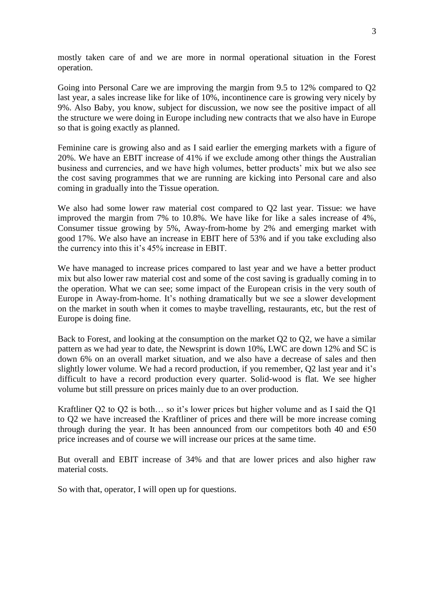mostly taken care of and we are more in normal operational situation in the Forest operation.

Going into Personal Care we are improving the margin from 9.5 to 12% compared to Q2 last year, a sales increase like for like of 10%, incontinence care is growing very nicely by 9%. Also Baby, you know, subject for discussion, we now see the positive impact of all the structure we were doing in Europe including new contracts that we also have in Europe so that is going exactly as planned.

Feminine care is growing also and as I said earlier the emerging markets with a figure of 20%. We have an EBIT increase of 41% if we exclude among other things the Australian business and currencies, and we have high volumes, better products' mix but we also see the cost saving programmes that we are running are kicking into Personal care and also coming in gradually into the Tissue operation.

We also had some lower raw material cost compared to Q2 last year. Tissue: we have improved the margin from 7% to 10.8%. We have like for like a sales increase of 4%, Consumer tissue growing by 5%, Away-from-home by 2% and emerging market with good 17%. We also have an increase in EBIT here of 53% and if you take excluding also the currency into this it's 45% increase in EBIT.

We have managed to increase prices compared to last year and we have a better product mix but also lower raw material cost and some of the cost saving is gradually coming in to the operation. What we can see; some impact of the European crisis in the very south of Europe in Away-from-home. It's nothing dramatically but we see a slower development on the market in south when it comes to maybe travelling, restaurants, etc, but the rest of Europe is doing fine.

Back to Forest, and looking at the consumption on the market Q2 to Q2, we have a similar pattern as we had year to date, the Newsprint is down 10%, LWC are down 12% and SC is down 6% on an overall market situation, and we also have a decrease of sales and then slightly lower volume. We had a record production, if you remember, Q2 last year and it's difficult to have a record production every quarter. Solid-wood is flat. We see higher volume but still pressure on prices mainly due to an over production.

Kraftliner Q2 to Q2 is both… so it's lower prices but higher volume and as I said the Q1 to Q2 we have increased the Kraftliner of prices and there will be more increase coming through during the year. It has been announced from our competitors both 40 and  $\epsilon$ 50 price increases and of course we will increase our prices at the same time.

But overall and EBIT increase of 34% and that are lower prices and also higher raw material costs.

So with that, operator, I will open up for questions.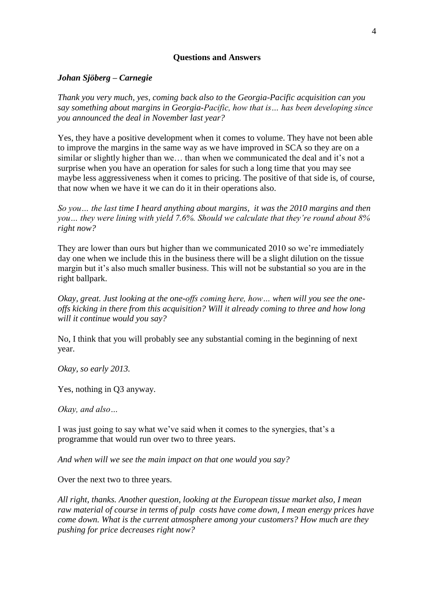## **Questions and Answers**

## *Johan Sjöberg – Carnegie*

*Thank you very much, yes, coming back also to the Georgia-Pacific acquisition can you say something about margins in Georgia-Pacific, how that is… has been developing since you announced the deal in November last year?*

Yes, they have a positive development when it comes to volume. They have not been able to improve the margins in the same way as we have improved in SCA so they are on a similar or slightly higher than we… than when we communicated the deal and it's not a surprise when you have an operation for sales for such a long time that you may see maybe less aggressiveness when it comes to pricing. The positive of that side is, of course, that now when we have it we can do it in their operations also.

*So you… the last time I heard anything about margins, it was the 2010 margins and then you… they were lining with yield 7.6%. Should we calculate that they're round about 8% right now?*

They are lower than ours but higher than we communicated 2010 so we're immediately day one when we include this in the business there will be a slight dilution on the tissue margin but it's also much smaller business. This will not be substantial so you are in the right ballpark.

*Okay, great. Just looking at the one-offs coming here, how… when will you see the oneoffs kicking in there from this acquisition? Will it already coming to three and how long will it continue would you say?*

No, I think that you will probably see any substantial coming in the beginning of next year.

*Okay, so early 2013.*

Yes, nothing in Q3 anyway.

*Okay, and also…*

I was just going to say what we've said when it comes to the synergies, that's a programme that would run over two to three years.

*And when will we see the main impact on that one would you say?*

Over the next two to three years.

*All right, thanks. Another question, looking at the European tissue market also, I mean raw material of course in terms of pulp costs have come down, I mean energy prices have come down. What is the current atmosphere among your customers? How much are they pushing for price decreases right now?*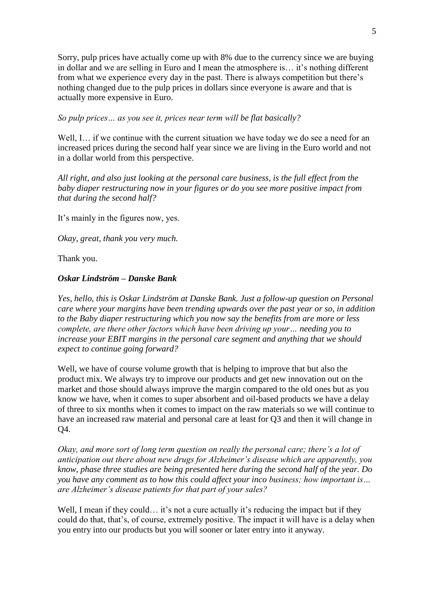Sorry, pulp prices have actually come up with 8% due to the currency since we are buying in dollar and we are selling in Euro and I mean the atmosphere is… it's nothing different from what we experience every day in the past. There is always competition but there's nothing changed due to the pulp prices in dollars since everyone is aware and that is actually more expensive in Euro.

*So pulp prices… as you see it, prices near term will be flat basically?*

Well, I... if we continue with the current situation we have today we do see a need for an increased prices during the second half year since we are living in the Euro world and not in a dollar world from this perspective.

*All right, and also just looking at the personal care business, is the full effect from the baby diaper restructuring now in your figures or do you see more positive impact from that during the second half?*

It's mainly in the figures now, yes.

*Okay, great, thank you very much.*

Thank you.

## *Oskar Lindström – Danske Bank*

*Yes, hello, this is Oskar Lindström at Danske Bank. Just a follow-up question on Personal care where your margins have been trending upwards over the past year or so, in addition to the Baby diaper restructuring which you now say the benefits from are more or less complete, are there other factors which have been driving up your… needing you to increase your EBIT margins in the personal care segment and anything that we should expect to continue going forward?*

Well, we have of course volume growth that is helping to improve that but also the product mix. We always try to improve our products and get new innovation out on the market and those should always improve the margin compared to the old ones but as you know we have, when it comes to super absorbent and oil-based products we have a delay of three to six months when it comes to impact on the raw materials so we will continue to have an increased raw material and personal care at least for Q3 and then it will change in Q4.

*Okay, and more sort of long term question on really the personal care; there's a lot of anticipation out there about new drugs for Alzheimer's disease which are apparently, you know, phase three studies are being presented here during the second half of the year. Do you have any comment as to how this could affect your inco business; how important is… are Alzheimer's disease patients for that part of your sales?*

Well, I mean if they could... it's not a cure actually it's reducing the impact but if they could do that, that's, of course, extremely positive. The impact it will have is a delay when you entry into our products but you will sooner or later entry into it anyway.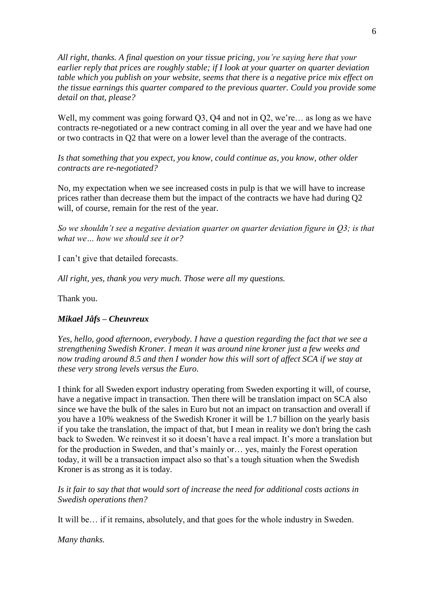*All right, thanks. A final question on your tissue pricing, you're saying here that your earlier reply that prices are roughly stable; if I look at your quarter on quarter deviation table which you publish on your website, seems that there is a negative price mix effect on the tissue earnings this quarter compared to the previous quarter. Could you provide some detail on that, please?*

Well, my comment was going forward O3, O4 and not in O2, we're… as long as we have contracts re-negotiated or a new contract coming in all over the year and we have had one or two contracts in Q2 that were on a lower level than the average of the contracts.

*Is that something that you expect, you know, could continue as, you know, other older contracts are re-negotiated?*

No, my expectation when we see increased costs in pulp is that we will have to increase prices rather than decrease them but the impact of the contracts we have had during Q2 will, of course, remain for the rest of the year.

*So we shouldn't see a negative deviation quarter on quarter deviation figure in Q3; is that what we… how we should see it or?*

I can't give that detailed forecasts.

*All right, yes, thank you very much. Those were all my questions.*

Thank you.

## *Mikael Jåfs – Cheuvreux*

*Yes, hello, good afternoon, everybody. I have a question regarding the fact that we see a strengthening Swedish Kroner. I mean it was around nine kroner just a few weeks and*  now trading around 8.5 and then I wonder how this will sort of affect SCA if we stay at *these very strong levels versus the Euro.*

I think for all Sweden export industry operating from Sweden exporting it will, of course, have a negative impact in transaction. Then there will be translation impact on SCA also since we have the bulk of the sales in Euro but not an impact on transaction and overall if you have a 10% weakness of the Swedish Kroner it will be 1.7 billion on the yearly basis if you take the translation, the impact of that, but I mean in reality we don't bring the cash back to Sweden. We reinvest it so it doesn't have a real impact. It's more a translation but for the production in Sweden, and that's mainly or… yes, mainly the Forest operation today, it will be a transaction impact also so that's a tough situation when the Swedish Kroner is as strong as it is today.

*Is it fair to say that that would sort of increase the need for additional costs actions in Swedish operations then?*

It will be… if it remains, absolutely, and that goes for the whole industry in Sweden.

*Many thanks.*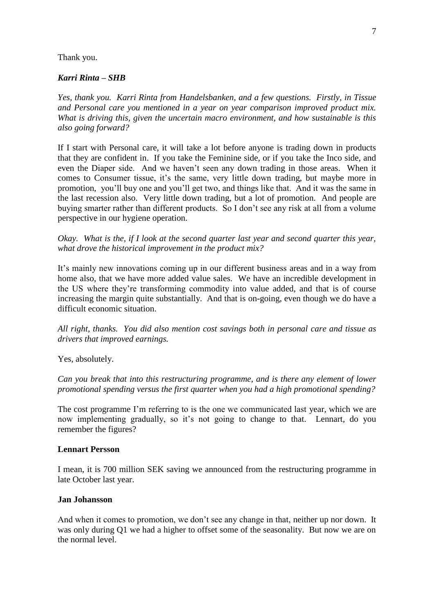### Thank you.

## *Karri Rinta – SHB*

*Yes, thank you. Karri Rinta from Handelsbanken, and a few questions. Firstly, in Tissue and Personal care you mentioned in a year on year comparison improved product mix. What is driving this, given the uncertain macro environment, and how sustainable is this also going forward?* 

If I start with Personal care, it will take a lot before anyone is trading down in products that they are confident in. If you take the Feminine side, or if you take the Inco side, and even the Diaper side. And we haven't seen any down trading in those areas. When it comes to Consumer tissue, it's the same, very little down trading, but maybe more in promotion, you'll buy one and you'll get two, and things like that. And it was the same in the last recession also. Very little down trading, but a lot of promotion. And people are buying smarter rather than different products. So I don't see any risk at all from a volume perspective in our hygiene operation.

*Okay. What is the, if I look at the second quarter last year and second quarter this year, what drove the historical improvement in the product mix?* 

It's mainly new innovations coming up in our different business areas and in a way from home also, that we have more added value sales. We have an incredible development in the US where they're transforming commodity into value added, and that is of course increasing the margin quite substantially. And that is on-going, even though we do have a difficult economic situation.

*All right, thanks. You did also mention cost savings both in personal care and tissue as drivers that improved earnings.* 

Yes, absolutely.

*Can you break that into this restructuring programme, and is there any element of lower promotional spending versus the first quarter when you had a high promotional spending?* 

The cost programme I'm referring to is the one we communicated last year, which we are now implementing gradually, so it's not going to change to that. Lennart, do you remember the figures?

## **Lennart Persson**

I mean, it is 700 million SEK saving we announced from the restructuring programme in late October last year.

## **Jan Johansson**

And when it comes to promotion, we don't see any change in that, neither up nor down. It was only during Q1 we had a higher to offset some of the seasonality. But now we are on the normal level.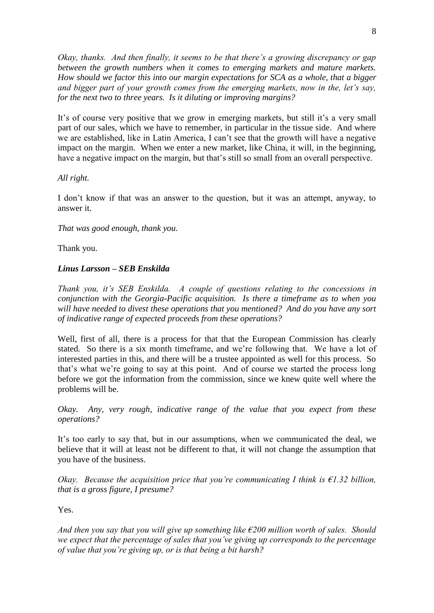*Okay, thanks. And then finally, it seems to be that there's a growing discrepancy or gap between the growth numbers when it comes to emerging markets and mature markets. How should we factor this into our margin expectations for SCA as a whole, that a bigger and bigger part of your growth comes from the emerging markets, now in the, let's say, for the next two to three years. Is it diluting or improving margins?* 

It's of course very positive that we grow in emerging markets, but still it's a very small part of our sales, which we have to remember, in particular in the tissue side. And where we are established, like in Latin America, I can't see that the growth will have a negative impact on the margin. When we enter a new market, like China, it will, in the beginning, have a negative impact on the margin, but that's still so small from an overall perspective.

## *All right.*

I don't know if that was an answer to the question, but it was an attempt, anyway, to answer it.

## *That was good enough, thank you.*

Thank you.

## *Linus Larsson – SEB Enskilda*

*Thank you, it's SEB Enskilda. A couple of questions relating to the concessions in conjunction with the Georgia-Pacific acquisition. Is there a timeframe as to when you will have needed to divest these operations that you mentioned? And do you have any sort of indicative range of expected proceeds from these operations?* 

Well, first of all, there is a process for that that the European Commission has clearly stated. So there is a six month timeframe, and we're following that. We have a lot of interested parties in this, and there will be a trustee appointed as well for this process. So that's what we're going to say at this point. And of course we started the process long before we got the information from the commission, since we knew quite well where the problems will be.

*Okay. Any, very rough, indicative range of the value that you expect from these operations?* 

It's too early to say that, but in our assumptions, when we communicated the deal, we believe that it will at least not be different to that, it will not change the assumption that you have of the business.

*Okay. Because the acquisition price that you're communicating I think is €1.32 billion, that is a gross figure, I presume?* 

Yes.

*And then you say that you will give up something like €200 million worth of sales. Should we expect that the percentage of sales that you've giving up corresponds to the percentage of value that you're giving up, or is that being a bit harsh?*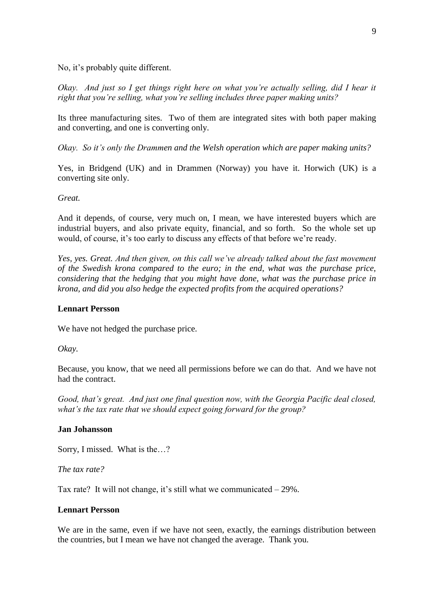No, it's probably quite different.

*Okay. And just so I get things right here on what you're actually selling, did I hear it right that you're selling, what you're selling includes three paper making units?* 

Its three manufacturing sites. Two of them are integrated sites with both paper making and converting, and one is converting only.

*Okay. So it's only the Drammen and the Welsh operation which are paper making units?* 

Yes, in Bridgend (UK) and in Drammen (Norway) you have it. Horwich (UK) is a converting site only.

*Great.* 

And it depends, of course, very much on, I mean, we have interested buyers which are industrial buyers, and also private equity, financial, and so forth. So the whole set up would, of course, it's too early to discuss any effects of that before we're ready.

*Yes, yes. Great. And then given, on this call we've already talked about the fast movement of the Swedish krona compared to the euro; in the end, what was the purchase price, considering that the hedging that you might have done, what was the purchase price in krona, and did you also hedge the expected profits from the acquired operations?* 

### **Lennart Persson**

We have not hedged the purchase price.

*Okay.* 

Because, you know, that we need all permissions before we can do that. And we have not had the contract.

*Good, that's great. And just one final question now, with the Georgia Pacific deal closed, what's the tax rate that we should expect going forward for the group?* 

#### **Jan Johansson**

Sorry, I missed. What is the…?

*The tax rate?*

Tax rate? It will not change, it's still what we communicated  $-29\%$ .

## **Lennart Persson**

We are in the same, even if we have not seen, exactly, the earnings distribution between the countries, but I mean we have not changed the average. Thank you.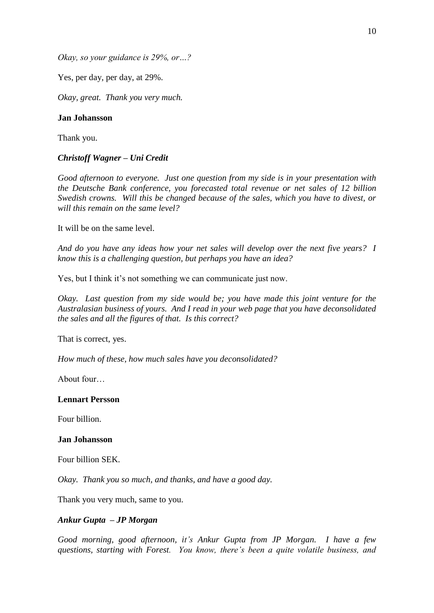*Okay, so your guidance is 29%, or…?*

Yes, per day, per day, at 29%.

*Okay, great. Thank you very much.* 

### **Jan Johansson**

Thank you.

### *Christoff Wagner – Uni Credit*

*Good afternoon to everyone. Just one question from my side is in your presentation with the Deutsche Bank conference, you forecasted total revenue or net sales of 12 billion Swedish crowns. Will this be changed because of the sales, which you have to divest, or will this remain on the same level?* 

It will be on the same level.

*And do you have any ideas how your net sales will develop over the next five years? I know this is a challenging question, but perhaps you have an idea?* 

Yes, but I think it's not something we can communicate just now.

*Okay. Last question from my side would be; you have made this joint venture for the Australasian business of yours. And I read in your web page that you have deconsolidated the sales and all the figures of that. Is this correct?* 

That is correct, yes.

*How much of these, how much sales have you deconsolidated?* 

About four…

### **Lennart Persson**

Four billion.

#### **Jan Johansson**

Four billion SEK.

*Okay. Thank you so much, and thanks, and have a good day.* 

Thank you very much, same to you.

### *Ankur Gupta – JP Morgan*

*Good morning, good afternoon, it's Ankur Gupta from JP Morgan. I have a few questions, starting with Forest. You know, there's been a quite volatile business, and*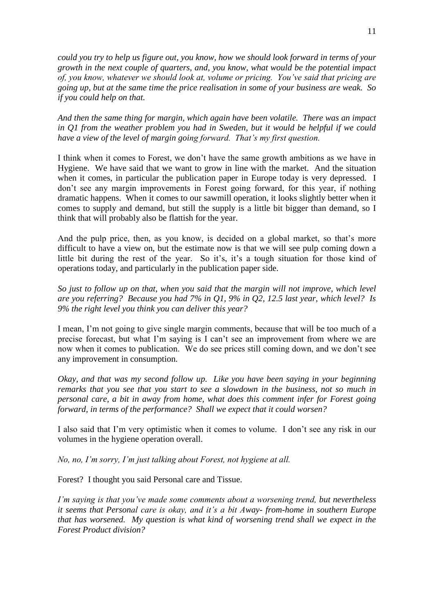*could you try to help us figure out, you know, how we should look forward in terms of your growth in the next couple of quarters, and, you know, what would be the potential impact of, you know, whatever we should look at, volume or pricing. You've said that pricing are going up, but at the same time the price realisation in some of your business are weak. So if you could help on that.* 

*And then the same thing for margin, which again have been volatile. There was an impact in Q1 from the weather problem you had in Sweden, but it would be helpful if we could have a view of the level of margin going forward. That's my first question.* 

I think when it comes to Forest, we don't have the same growth ambitions as we have in Hygiene. We have said that we want to grow in line with the market. And the situation when it comes, in particular the publication paper in Europe today is very depressed. I don't see any margin improvements in Forest going forward, for this year, if nothing dramatic happens. When it comes to our sawmill operation, it looks slightly better when it comes to supply and demand, but still the supply is a little bit bigger than demand, so I think that will probably also be flattish for the year.

And the pulp price, then, as you know, is decided on a global market, so that's more difficult to have a view on, but the estimate now is that we will see pulp coming down a little bit during the rest of the year. So it's, it's a tough situation for those kind of operations today, and particularly in the publication paper side.

*So just to follow up on that, when you said that the margin will not improve, which level are you referring? Because you had 7% in Q1, 9% in Q2, 12.5 last year, which level? Is 9% the right level you think you can deliver this year?* 

I mean, I'm not going to give single margin comments, because that will be too much of a precise forecast, but what I'm saying is I can't see an improvement from where we are now when it comes to publication. We do see prices still coming down, and we don't see any improvement in consumption.

*Okay, and that was my second follow up. Like you have been saying in your beginning remarks that you see that you start to see a slowdown in the business, not so much in personal care, a bit in away from home, what does this comment infer for Forest going forward, in terms of the performance? Shall we expect that it could worsen?*

I also said that I'm very optimistic when it comes to volume. I don't see any risk in our volumes in the hygiene operation overall.

*No, no, I'm sorry, I'm just talking about Forest, not hygiene at all.* 

Forest? I thought you said Personal care and Tissue.

*I'm saying is that you've made some comments about a worsening trend, but nevertheless it seems that Personal care is okay, and it's a bit Away- from-home in southern Europe that has worsened. My question is what kind of worsening trend shall we expect in the Forest Product division?*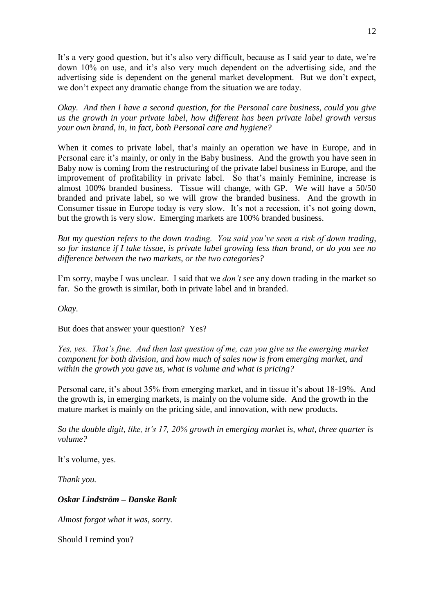It's a very good question, but it's also very difficult, because as I said year to date, we're down 10% on use, and it's also very much dependent on the advertising side, and the advertising side is dependent on the general market development. But we don't expect, we don't expect any dramatic change from the situation we are today.

*Okay. And then I have a second question, for the Personal care business, could you give us the growth in your private label, how different has been private label growth versus your own brand, in, in fact, both Personal care and hygiene?*

When it comes to private label, that's mainly an operation we have in Europe, and in Personal care it's mainly, or only in the Baby business. And the growth you have seen in Baby now is coming from the restructuring of the private label business in Europe, and the improvement of profitability in private label. So that's mainly Feminine, increase is almost 100% branded business. Tissue will change, with GP. We will have a 50/50 branded and private label, so we will grow the branded business. And the growth in Consumer tissue in Europe today is very slow. It's not a recession, it's not going down, but the growth is very slow. Emerging markets are 100% branded business.

*But my question refers to the down trading. You said you've seen a risk of down trading, so for instance if I take tissue, is private label growing less than brand, or do you see no difference between the two markets, or the two categories?* 

I'm sorry, maybe I was unclear. I said that we *don't* see any down trading in the market so far. So the growth is similar, both in private label and in branded.

*Okay.* 

But does that answer your question? Yes?

*Yes, yes. That's fine. And then last question of me, can you give us the emerging market component for both division, and how much of sales now is from emerging market, and within the growth you gave us, what is volume and what is pricing?* 

Personal care, it's about 35% from emerging market, and in tissue it's about 18-19%. And the growth is, in emerging markets, is mainly on the volume side. And the growth in the mature market is mainly on the pricing side, and innovation, with new products.

*So the double digit, like, it's 17, 20% growth in emerging market is, what, three quarter is volume?* 

It's volume, yes.

*Thank you.* 

*Oskar Lindström – Danske Bank* 

*Almost forgot what it was, sorry.* 

Should I remind you?